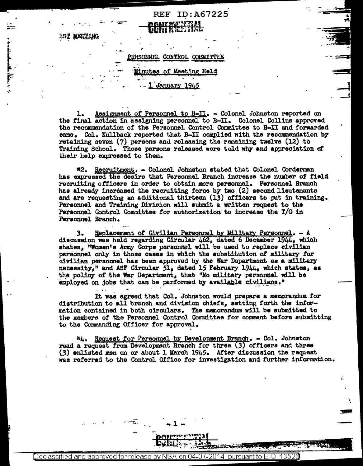## CONTROL COMMITTEE

**IST MEETING** 

 $\sim$   $\sim$ 

**REF ID: A67225** 

## nutes of Meeting Held

## January 1945

Assignment of Personnel to B- $\Pi$ . - Colonel Johnston reported on ı. the final action in assigning personnel to B-II. Colonel Collins approved the recommendation of the Personnel Control Committee to B-II and forwarded same. Col. Kullback reported that B-II complied with the recommendation by retaining seven  $(7)$  persons and releasing the remaining twelve  $(12)$  to Training School. Those persons released were told why and appreciation of their help expressed to them.

#2. Recruitment. - Colonel Johnston stated that Colonel Corderman has expressed the desire that Personnel Branch increase the number of field recruiting officers in order to obtain more personnel. Personnel Branch has already increased the recruiting force by two (2) second lieutenants and are requesting an additional thirteen (13) officers to put in training. Personnel and Training Division will submit a written request to the Personnel Control Committee for authorization to increase the T/O in Personnel Branch.

Replacement of Civilian Personnel by Military Personnel. - A з. discussion was held regarding Circular 462, dated 6 December 1944, which states, "Women's Army Corps personnel will be used to replace civilian personnel only in those cases in which the substitution of military for civilian personnel has been approved by the War Department as a military necessity," and ASF Circular 51, dated 15 February 1944, which states, as the policy of the War Department, that "No military personnel will be employed on jobs that can be performed by available civilians."

It was agreed that Col. Johnston would prepare a memorandum for distribution to all branch and division chiefs, setting forth the information contained in both circulars. The memorandum will be submitted to the members of the Personnel Control Committee for comment before submitting to the Commanding Officer for approval.

\*4. Request for Personnel by Development Branch. - Col. Johnston read a request from Development Branch for three (3) officers and three (3) enlisted men on or about 1 March 1945. After discussion the request was referred to the Control Office for investigation and further information.